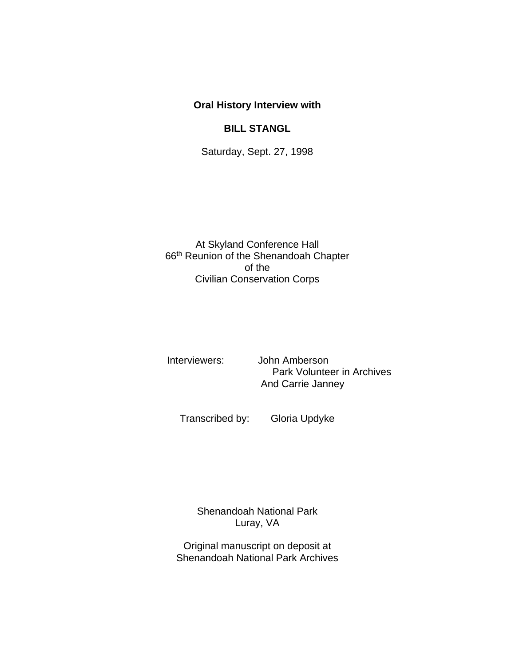## **Oral History Interview with**

## **BILL STANGL**

Saturday, Sept. 27, 1998

At Skyland Conference Hall 66th Reunion of the Shenandoah Chapter of the Civilian Conservation Corps

Interviewers: John Amberson Park Volunteer in Archives And Carrie Janney

Transcribed by: Gloria Updyke

Shenandoah National Park Luray, VA

Original manuscript on deposit at Shenandoah National Park Archives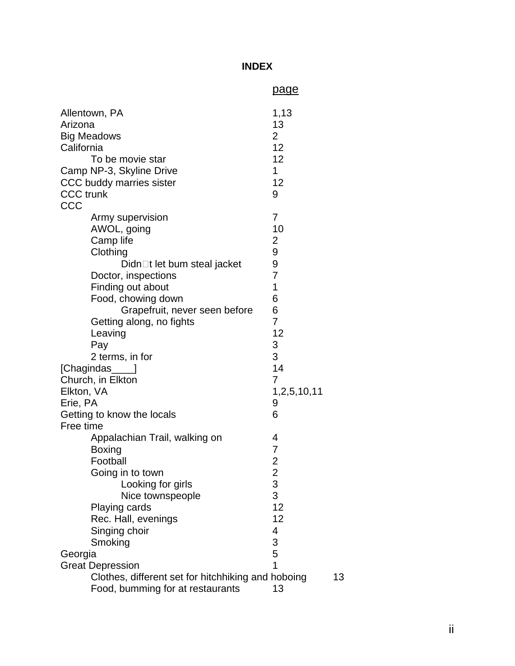## **INDEX**

|                                                                                                                                                                     |                                                                                                                                                                                                                                                                                                                                   | <u>page</u>                                                                                                                                |    |
|---------------------------------------------------------------------------------------------------------------------------------------------------------------------|-----------------------------------------------------------------------------------------------------------------------------------------------------------------------------------------------------------------------------------------------------------------------------------------------------------------------------------|--------------------------------------------------------------------------------------------------------------------------------------------|----|
| Allentown, PA<br>Arizona<br><b>Big Meadows</b><br>California<br>To be movie star<br>Camp NP-3, Skyline Drive<br>CCC buddy marries sister<br><b>CCC</b> trunk<br>CCC |                                                                                                                                                                                                                                                                                                                                   | 1,13<br>13<br>$\overline{2}$<br>12<br>12<br>1<br>12<br>9                                                                                   |    |
| Elkton, VA<br>Erie, PA<br>Free time                                                                                                                                 | Army supervision<br>AWOL, going<br>Camp life<br>Clothing<br>Didn□t let bum steal jacket<br>Doctor, inspections<br>Finding out about<br>Food, chowing down<br>Grapefruit, never seen before<br>Getting along, no fights<br>Leaving<br>Pay<br>2 terms, in for<br>[Chagindas____]<br>Church, in Elkton<br>Getting to know the locals | $\overline{7}$<br>10<br>2<br>9<br>9<br>$\overline{7}$<br>1<br>6<br>6<br>$\overline{7}$<br>12<br>3<br>3<br>14<br>7<br>1,2,5,10,11<br>9<br>6 |    |
| Georgia                                                                                                                                                             | Appalachian Trail, walking on<br><b>Boxing</b><br>Football<br>Going in to town<br>Looking for girls<br>Nice townspeople<br>Playing cards<br>Rec. Hall, evenings<br>Singing choir<br>Smoking<br><b>Great Depression</b><br>Clothes, different set for hitchhiking and hoboing                                                      | 4<br>$\overline{7}$<br>$\overline{\mathbf{c}}$<br>$\begin{array}{c} 2 \\ 3 \\ 3 \end{array}$<br>12<br>12<br>4<br>$\frac{3}{5}$<br>1        | 13 |
|                                                                                                                                                                     | Food, bumming for at restaurants                                                                                                                                                                                                                                                                                                  | 13                                                                                                                                         |    |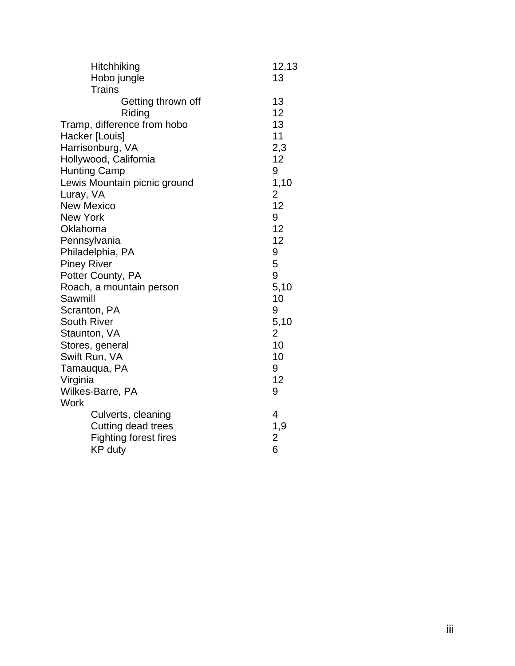| Hitchhiking                  | 12,13                   |
|------------------------------|-------------------------|
| Hobo jungle                  | 13                      |
| <b>Trains</b>                |                         |
| Getting thrown off           | 13                      |
| Riding                       | 12                      |
| Tramp, difference from hobo  | 13                      |
| Hacker [Louis]               | 11                      |
| Harrisonburg, VA             | 2,3                     |
| Hollywood, California        | 12                      |
| <b>Hunting Camp</b>          | 9                       |
| Lewis Mountain picnic ground | 1,10                    |
| Luray, VA                    | $\overline{2}$          |
| <b>New Mexico</b>            | 12                      |
| <b>New York</b>              | 9                       |
| Oklahoma                     | 12                      |
| Pennsylvania                 | 12                      |
| Philadelphia, PA             | 9                       |
| <b>Piney River</b>           | 5                       |
| Potter County, PA            | 9                       |
| Roach, a mountain person     | 5,10                    |
| Sawmill                      | 10                      |
| Scranton, PA                 | 9                       |
| <b>South River</b>           | 5,10                    |
| Staunton, VA                 | $\overline{2}$          |
| Stores, general              | 10                      |
| Swift Run, VA                | 10                      |
| Tamauqua, PA                 | 9                       |
| Virginia                     | 12                      |
| Wilkes-Barre, PA             | 9                       |
| Work                         |                         |
| Culverts, cleaning           | 4                       |
| Cutting dead trees           | 1,9                     |
| <b>Fighting forest fires</b> | $\overline{\mathbf{c}}$ |
| <b>KP</b> duty               | 6                       |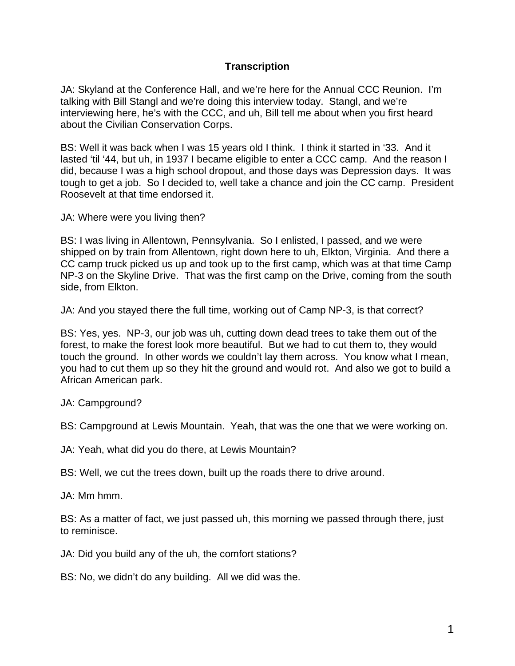## **Transcription**

 JA: Skyland at the Conference Hall, and we're here for the Annual CCC Reunion. I'm interviewing here, he's with the CCC, and uh, Bill tell me about when you first heard talking with Bill Stangl and we're doing this interview today. Stangl, and we're about the Civilian Conservation Corps.

 BS: Well it was back when I was 15 years old I think. I think it started in '33. And it lasted 'til '44, but uh, in 1937 I became eligible to enter a CCC camp. And the reason I did, because I was a high school dropout, and those days was Depression days. It was tough to get a job. So I decided to, well take a chance and join the CC camp. President Roosevelt at that time endorsed it.

JA: Where were you living then?

 BS: I was living in Allentown, Pennsylvania. So I enlisted, I passed, and we were shipped on by train from Allentown, right down here to uh, Elkton, Virginia. And there a CC camp truck picked us up and took up to the first camp, which was at that time Camp NP-3 on the Skyline Drive. That was the first camp on the Drive, coming from the south side, from Elkton.

JA: And you stayed there the full time, working out of Camp NP-3, is that correct?

 touch the ground. In other words we couldn't lay them across. You know what I mean, BS: Yes, yes. NP-3, our job was uh, cutting down dead trees to take them out of the forest, to make the forest look more beautiful. But we had to cut them to, they would you had to cut them up so they hit the ground and would rot. And also we got to build a African American park.

JA: Campground?

BS: Campground at Lewis Mountain. Yeah, that was the one that we were working on.

JA: Yeah, what did you do there, at Lewis Mountain?

BS: Well, we cut the trees down, built up the roads there to drive around.<br>JA: Mm hmm.

 BS: As a matter of fact, we just passed uh, this morning we passed through there, just to reminisce.

JA: Did you build any of the uh, the comfort stations?

BS: No, we didn't do any building. All we did was the.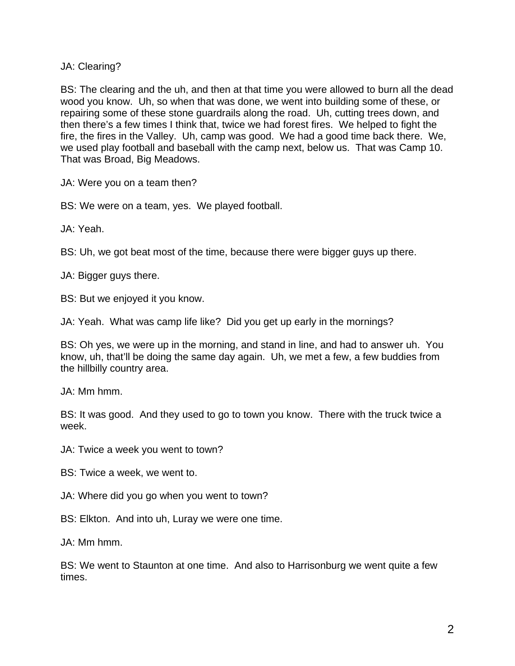JA: Clearing?

 then there's a few times I think that, twice we had forest fires. We helped to fight the BS: The clearing and the uh, and then at that time you were allowed to burn all the dead wood you know. Uh, so when that was done, we went into building some of these, or repairing some of these stone guardrails along the road. Uh, cutting trees down, and fire, the fires in the Valley. Uh, camp was good. We had a good time back there. We, we used play football and baseball with the camp next, below us. That was Camp 10. That was Broad, Big Meadows.

JA: Were you on a team then?

BS: We were on a team, yes. We played football.

JA: Yeah.

BS: Uh, we got beat most of the time, because there were bigger guys up there.

JA: Bigger guys there.

BS: But we enjoyed it you know.

JA: Yeah. What was camp life like? Did you get up early in the mornings?

BS: Oh yes, we were up in the morning, and stand in line, and had to answer uh. You know, uh, that'll be doing the same day again. Uh, we met a few, a few buddies from the hillbilly country area.

JA: Mm hmm.

BS: It was good. And they used to go to town you know. There with the truck twice a week.

JA: Twice a week you went to town?

BS: Twice a week, we went to.

JA: Where did you go when you went to town?

BS: Elkton. And into uh, Luray we were one time.

JA: Mm hmm.

BS: We went to Staunton at one time. And also to Harrisonburg we went quite a few times.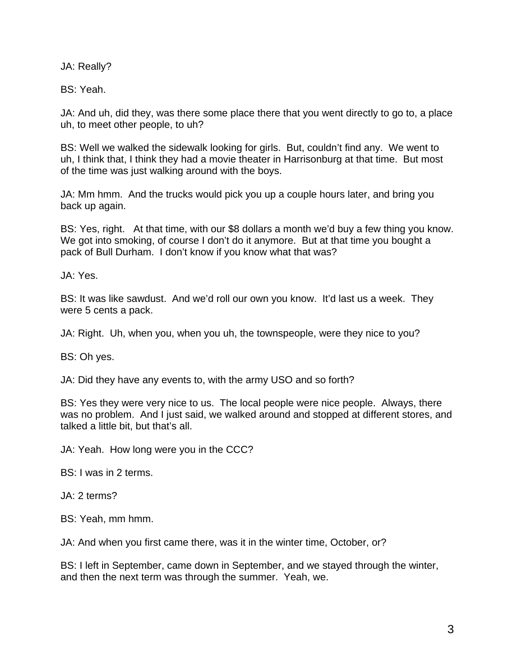JA: Really?

BS: Yeah.

JA: And uh, did they, was there some place there that you went directly to go to, a place uh, to meet other people, to uh?

 uh, I think that, I think they had a movie theater in Harrisonburg at that time. But most BS: Well we walked the sidewalk looking for girls. But, couldn't find any. We went to of the time was just walking around with the boys.

JA: Mm hmm. And the trucks would pick you up a couple hours later, and bring you back up again.

 BS: Yes, right. At that time, with our \$8 dollars a month we'd buy a few thing you know. pack of Bull Durham. I don't know if you know what that was? We got into smoking, of course I don't do it anymore. But at that time you bought a

JA: Yes.

BS: It was like sawdust. And we'd roll our own you know. It'd last us a week. They were 5 cents a pack.

JA: Right. Uh, when you, when you uh, the townspeople, were they nice to you?

BS: Oh yes.

JA: Did they have any events to, with the army USO and so forth?

BS: Yes they were very nice to us. The local people were nice people. Always, there was no problem. And I just said, we walked around and stopped at different stores, and talked a little bit, but that's all.

JA: Yeah. How long were you in the CCC?

BS: I was in 2 terms.

JA: 2 terms?

BS: Yeah, mm hmm.

JA: And when you first came there, was it in the winter time, October, or?

BS: I left in September, came down in September, and we stayed through the winter, and then the next term was through the summer. Yeah, we.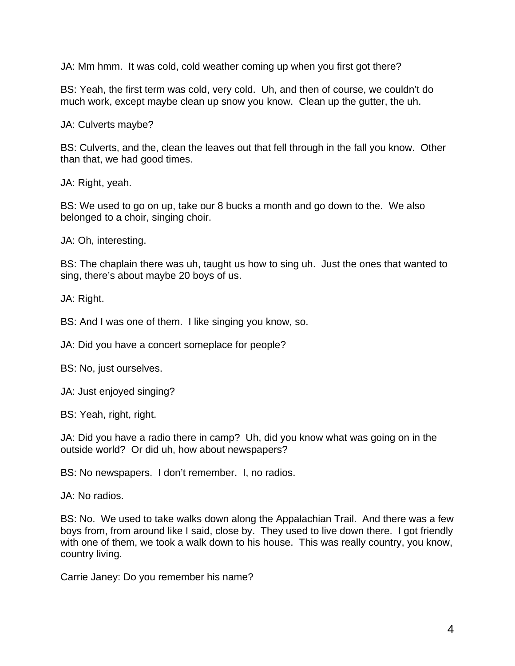JA: Mm hmm. It was cold, cold weather coming up when you first got there?

BS: Yeah, the first term was cold, very cold. Uh, and then of course, we couldn't do much work, except maybe clean up snow you know. Clean up the gutter, the uh.

JA: Culverts maybe?

 BS: Culverts, and the, clean the leaves out that fell through in the fall you know. Other than that, we had good times.

JA: Right, yeah.

BS: We used to go on up, take our 8 bucks a month and go down to the. We also belonged to a choir, singing choir.

JA: Oh, interesting.

BS: The chaplain there was uh, taught us how to sing uh. Just the ones that wanted to sing, there's about maybe 20 boys of us.

JA: Right.

BS: And I was one of them. I like singing you know, so.

JA: Did you have a concert someplace for people?

BS: No, just ourselves.

JA: Just enjoyed singing?

BS: Yeah, right, right.

JA: Did you have a radio there in camp? Uh, did you know what was going on in the outside world? Or did uh, how about newspapers?

BS: No newspapers. I don't remember. I, no radios.

JA: No radios.

BS: No. We used to take walks down along the Appalachian Trail. And there was a few boys from, from around like I said, close by. They used to live down there. I got friendly with one of them, we took a walk down to his house. This was really country, you know, country living.

Carrie Janey: Do you remember his name?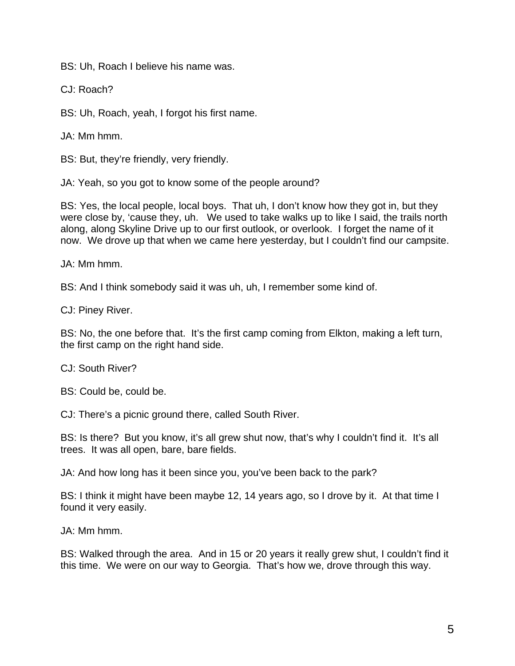BS: Uh, Roach I believe his name was.

CJ: Roach?

BS: Uh, Roach, yeah, I forgot his first name.

JA: Mm hmm.

BS: But, they're friendly, very friendly.

JA: Yeah, so you got to know some of the people around?

 BS: Yes, the local people, local boys. That uh, I don't know how they got in, but they were close by, 'cause they, uh. We used to take walks up to like I said, the trails north along, along Skyline Drive up to our first outlook, or overlook. I forget the name of it now. We drove up that when we came here yesterday, but I couldn't find our campsite.

JA: Mm hmm.

BS: And I think somebody said it was uh, uh, I remember some kind of.

CJ: Piney River.

 BS: No, the one before that. It's the first camp coming from Elkton, making a left turn, the first camp on the right hand side.

CJ: South River?

BS: Could be, could be.

CJ: There's a picnic ground there, called South River.

BS: Is there? But you know, it's all grew shut now, that's why I couldn't find it. It's all trees. It was all open, bare, bare fields.

JA: And how long has it been since you, you've been back to the park?

found it very easily.<br>JA: Mm hmm. BS: I think it might have been maybe 12, 14 years ago, so I drove by it. At that time I

BS: Walked through the area. And in 15 or 20 years it really grew shut, I couldn't find it this time. We were on our way to Georgia. That's how we, drove through this way.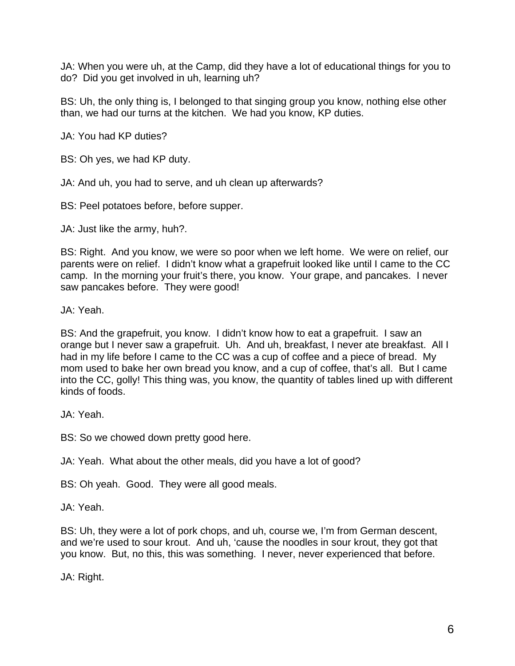JA: When you were uh, at the Camp, did they have a lot of educational things for you to do? Did you get involved in uh, learning uh?

BS: Uh, the only thing is, I belonged to that singing group you know, nothing else other than, we had our turns at the kitchen. We had you know, KP duties.

JA: You had KP duties?

BS: Oh yes, we had KP duty.

JA: And uh, you had to serve, and uh clean up afterwards?

BS: Peel potatoes before, before supper.

JA: Just like the army, huh?.

 BS: Right. And you know, we were so poor when we left home. We were on relief, our camp. In the morning your fruit's there, you know. Your grape, and pancakes. I never parents were on relief. I didn't know what a grapefruit looked like until I came to the CC saw pancakes before. They were good!

JA: Yeah.

BS: And the grapefruit, you know. I didn't know how to eat a grapefruit. I saw an orange but I never saw a grapefruit. Uh. And uh, breakfast, I never ate breakfast. All I had in my life before I came to the CC was a cup of coffee and a piece of bread. My mom used to bake her own bread you know, and a cup of coffee, that's all. But I came into the CC, golly! This thing was, you know, the quantity of tables lined up with different kinds of foods.

JA: Yeah.

BS: So we chowed down pretty good here.

JA: Yeah. What about the other meals, did you have a lot of good?

BS: Oh yeah. Good. They were all good meals.

JA: Yeah.

 you know. But, no this, this was something. I never, never experienced that before. BS: Uh, they were a lot of pork chops, and uh, course we, I'm from German descent, and we're used to sour krout. And uh, 'cause the noodles in sour krout, they got that

JA: Right.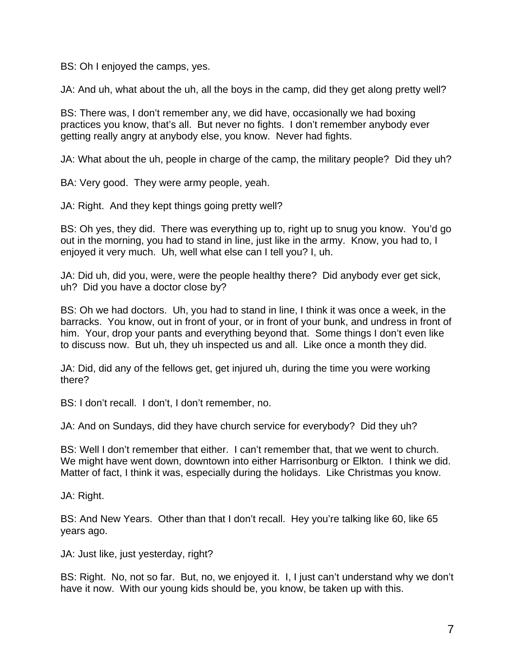BS: Oh I enjoyed the camps, yes.

JA: And uh, what about the uh, all the boys in the camp, did they get along pretty well?

BS: There was, I don't remember any, we did have, occasionally we had boxing practices you know, that's all. But never no fights. I don't remember anybody ever getting really angry at anybody else, you know. Never had fights.

JA: What about the uh, people in charge of the camp, the military people? Did they uh?

BA: Very good. They were army people, yeah.

JA: Right. And they kept things going pretty well?

 out in the morning, you had to stand in line, just like in the army. Know, you had to, I BS: Oh yes, they did. There was everything up to, right up to snug you know. You'd go enjoyed it very much. Uh, well what else can I tell you? I, uh.

JA: Did uh, did you, were, were the people healthy there? Did anybody ever get sick, uh? Did you have a doctor close by?

 barracks. You know, out in front of your, or in front of your bunk, and undress in front of BS: Oh we had doctors. Uh, you had to stand in line, I think it was once a week, in the him. Your, drop your pants and everything beyond that. Some things I don't even like to discuss now. But uh, they uh inspected us and all. Like once a month they did.

JA: Did, did any of the fellows get, get injured uh, during the time you were working there?

BS: I don't recall. I don't, I don't remember, no.

JA: And on Sundays, did they have church service for everybody? Did they uh?

 BS: Well I don't remember that either. I can't remember that, that we went to church. We might have went down, downtown into either Harrisonburg or Elkton. I think we did. Matter of fact, I think it was, especially during the holidays. Like Christmas you know.

JA: Right.

 BS: And New Years. Other than that I don't recall. Hey you're talking like 60, like 65 years ago.

JA: Just like, just yesterday, right?

 BS: Right. No, not so far. But, no, we enjoyed it. I, I just can't understand why we don't have it now. With our young kids should be, you know, be taken up with this.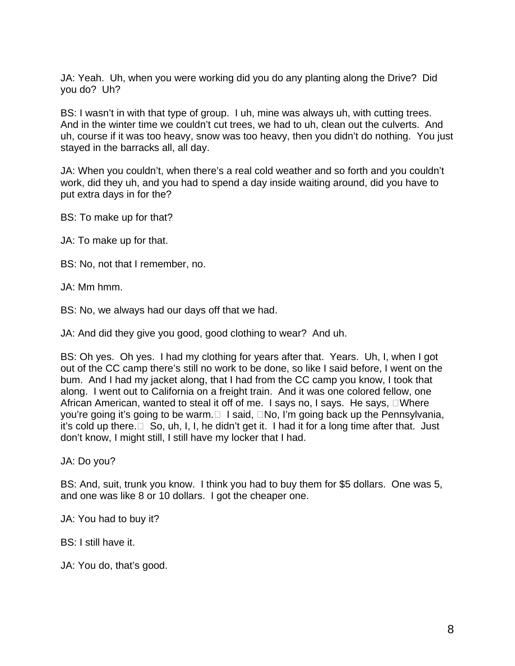JA: Yeah. Uh, when you were working did you do any planting along the Drive? Did you do? Uh?

BS: I wasn't in with that type of group. I uh, mine was always uh, with cutting trees. BS: I wasn't in with that type of group. I uh, mine was always uh, with cutting trees.<br>And in the winter time we couldn't cut trees, we had to uh, clean out the culverts. And uh, course if it was too heavy, snow was too heavy, then you didn't do nothing. You just stayed in the barracks all, all day.

JA: When you couldn't, when there's a real cold weather and so forth and you couldn't work, did they uh, and you had to spend a day inside waiting around, did you have to put extra days in for the?

BS: To make up for that?

JA: To make up for that.

BS: No, not that I remember, no.

JA: Mm hmm.

BS: No, we always had our days off that we had.

JA: And did they give you good, good clothing to wear? And uh.

 BS: Oh yes. Oh yes. I had my clothing for years after that. Years. Uh, I, when I got bum. And I had my jacket along, that I had from the CC camp you know, I took that African American, wanted to steal it off of me. I says no, I says. He says, □Where you're going it's going to be warm.□ I said, □No, I'm going back up the Pennsylvania, it's cold up there. $\Box$  So, uh, I, I, he didn't get it. I had it for a long time after that. Just out of the CC camp there's still no work to be done, so like I said before, I went on the along. I went out to California on a freight train. And it was one colored fellow, one don't know, I might still, I still have my locker that I had.

JA: Do you?

 BS: And, suit, trunk you know. I think you had to buy them for \$5 dollars. One was 5, and one was like 8 or 10 dollars. I got the cheaper one.

JA: You had to buy it?

BS: I still have it.

JA: You do, that's good.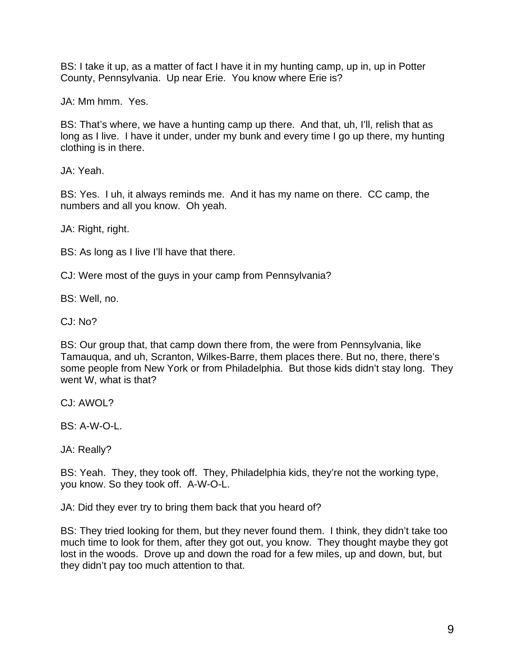BS: I take it up, as a matter of fact I have it in my hunting camp, up in, up in Potter County, Pennsylvania. Up near Erie. You know where Erie is?

JA: Mm hmm. Yes.

 BS: That's where, we have a hunting camp up there. And that, uh, I'll, relish that as long as I live. I have it under, under my bunk and every time I go up there, my hunting clothing is in there.

JA: Yeah.

BS: Yes. I uh, it always reminds me. And it has my name on there. CC camp, the numbers and all you know. Oh yeah.

JA: Right, right.

BS: As long as I live I'll have that there.

CJ: Were most of the guys in your camp from Pennsylvania?

BS: Well, no.

CJ: No?

BS: Our group that, that camp down there from, the were from Pennsylvania, like Tamauqua, and uh, Scranton, Wilkes-Barre, them places there. But no, there, there's some people from New York or from Philadelphia. But those kids didn't stay long. They went W, what is that?

CJ: AWOL?

BS: A-W-O-L.

JA: Really?

BS: Yeah. They, they took off. They, Philadelphia kids, they're not the working type, you know. So they took off. A-W-O-L.

JA: Did they ever try to bring them back that you heard of?

 BS: They tried looking for them, but they never found them. I think, they didn't take too much time to look for them, after they got out, you know. They thought maybe they got lost in the woods. Drove up and down the road for a few miles, up and down, but, but they didn't pay too much attention to that.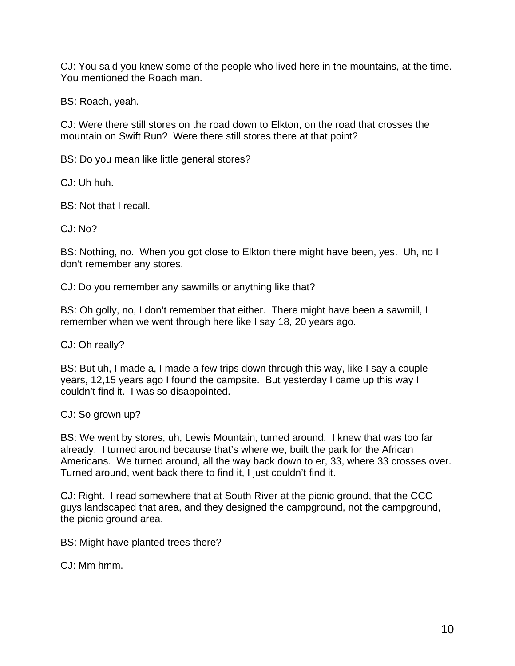CJ: You said you knew some of the people who lived here in the mountains, at the time.<br>You mentioned the Roach man.

BS: Roach, yeah.

CJ: Were there still stores on the road down to Elkton, on the road that crosses the mountain on Swift Run? Were there still stores there at that point?

BS: Do you mean like little general stores?

CJ: Uh huh.

BS: Not that I recall.

 $C<sub>1</sub>: No?$ 

 BS: Nothing, no. When you got close to Elkton there might have been, yes. Uh, no I don't remember any stores.

CJ: Do you remember any sawmills or anything like that?

BS: Oh golly, no, I don't remember that either. There might have been a sawmill, I remember when we went through here like I say 18, 20 years ago.

CJ: Oh really?

BS: But uh, I made a, I made a few trips down through this way, like I say a couple years, 12,15 years ago I found the campsite. But yesterday I came up this way I couldn't find it. I was so disappointed.

CJ: So grown up?

Americans. We turned around, all the way back down to er, 33, where 33 crosses over.<br>Turned around, went back there to find it, I just couldn't find it. BS: We went by stores, uh, Lewis Mountain, turned around. I knew that was too far already. I turned around because that's where we, built the park for the African

 CJ: Right. I read somewhere that at South River at the picnic ground, that the CCC guys landscaped that area, and they designed the campground, not the campground, the picnic ground area.

BS: Might have planted trees there?

CJ: Mm hmm.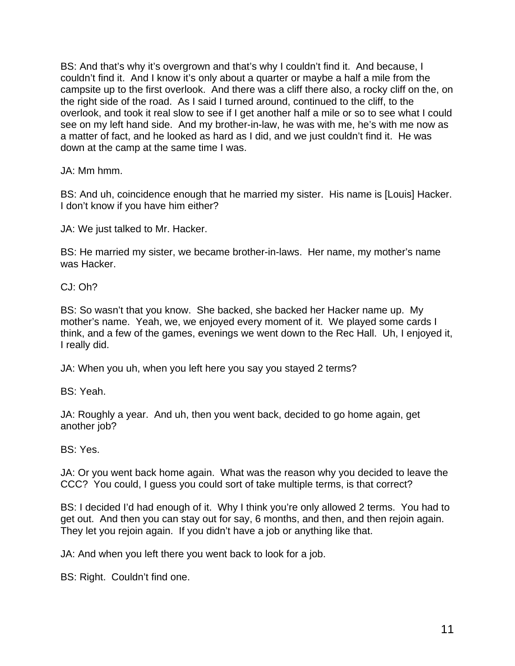couldn't find it. And I know it's only about a quarter or maybe a half a mile from the a matter of fact, and he looked as hard as I did, and we just couldn't find it. He was BS: And that's why it's overgrown and that's why I couldn't find it. And because, I campsite up to the first overlook. And there was a cliff there also, a rocky cliff on the, on the right side of the road. As I said I turned around, continued to the cliff, to the overlook, and took it real slow to see if I get another half a mile or so to see what I could see on my left hand side. And my brother-in-law, he was with me, he's with me now as down at the camp at the same time I was.

JA: Mm hmm.

BS: And uh, coincidence enough that he married my sister. His name is [Louis] Hacker. <br>I don't know if you have him either?

JA: We just talked to Mr. Hacker.

 BS: He married my sister, we became brother-in-laws. Her name, my mother's name was Hacker.

CJ: Oh?

 BS: So wasn't that you know. She backed, she backed her Hacker name up. My think, and a few of the games, evenings we went down to the Rec Hall. Uh, I enjoyed it, I really did. mother's name. Yeah, we, we enjoyed every moment of it. We played some cards I

JA: When you uh, when you left here you say you stayed 2 terms?

BS: Yeah.

JA: Roughly a year. And uh, then you went back, decided to go home again, get another job?

BS: Yes.

JA: Or you went back home again. What was the reason why you decided to leave the CCC? You could, I guess you could sort of take multiple terms, is that correct?

 BS: I decided I'd had enough of it. Why I think you're only allowed 2 terms. You had to get out. And then you can stay out for say, 6 months, and then, and then rejoin again.<br>They let you rejoin again. If you didn't have a job or anything like that.

JA: And when you left there you went back to look for a job.

BS: Right. Couldn't find one.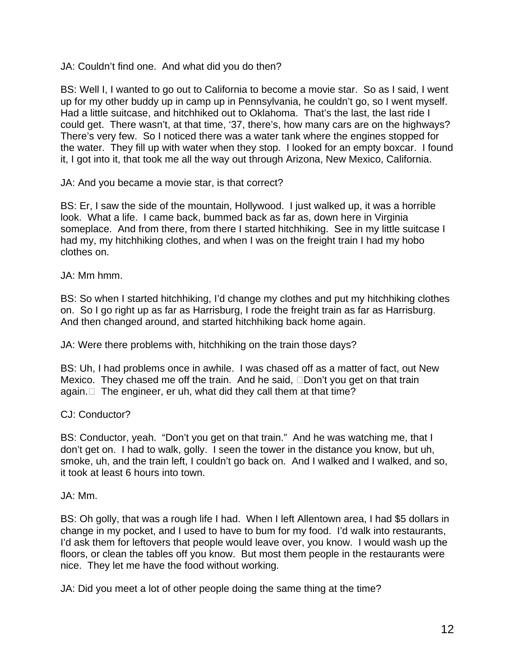JA: Couldn't find one. And what did you do then?

up for my other buddy up in camp up in Pennsylvania, he couldn't go, so I went myself. could get. There wasn't, at that time, '37, there's, how many cars are on the highways? the water. They fill up with water when they stop. I looked for an empty boxcar. I found it, I got into it, that took me all the way out through Arizona, New Mexico, California. BS: Well I, I wanted to go out to California to become a movie star. So as I said, I went Had a little suitcase, and hitchhiked out to Oklahoma. That's the last, the last ride I There's very few. So I noticed there was a water tank where the engines stopped for

JA: And you became a movie star, is that correct?

 look. What a life. I came back, bummed back as far as, down here in Virginia someplace. And from there, from there I started hitchhiking. See in my little suitcase I BS: Er, I saw the side of the mountain, Hollywood. I just walked up, it was a horrible had my, my hitchhiking clothes, and when I was on the freight train I had my hobo clothes on.

JA: Mm hmm.

on. So I go right up as far as Harrisburg, I rode the freight train as far as Harrisburg. BS: So when I started hitchhiking, I'd change my clothes and put my hitchhiking clothes And then changed around, and started hitchhiking back home again.

JA: Were there problems with, hitchhiking on the train those days?

again. $\Box$  The engineer, er uh, what did they call them at that time? BS: Uh, I had problems once in awhile. I was chased off as a matter of fact, out New Mexico. They chased me off the train. And he said,  $\Box$ Don't you get on that train

CJ: Conductor?

 BS: Conductor, yeah. "Don't you get on that train." And he was watching me, that I don't get on. I had to walk, golly. I seen the tower in the distance you know, but uh, smoke, uh, and the train left, I couldn't go back on. And I walked and I walked, and so, it took at least 6 hours into town.

JA: Mm.

 change in my pocket, and I used to have to bum for my food. I'd walk into restaurants, floors, or clean the tables off you know. But most them people in the restaurants were BS: Oh golly, that was a rough life I had. When I left Allentown area, I had \$5 dollars in I'd ask them for leftovers that people would leave over, you know. I would wash up the nice. They let me have the food without working.

JA: Did you meet a lot of other people doing the same thing at the time?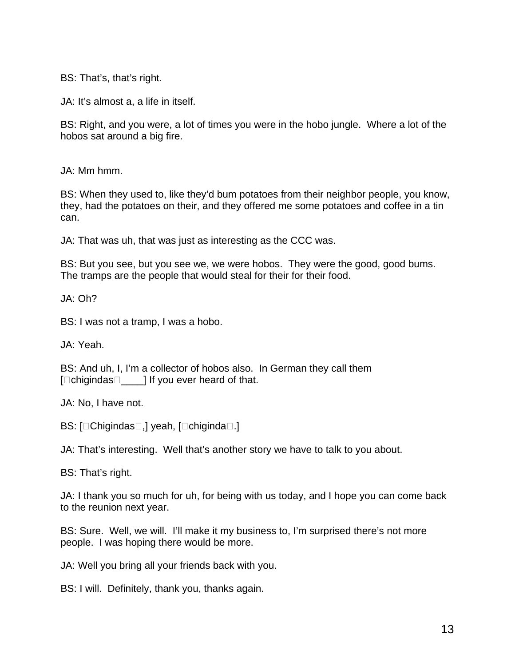BS: That's, that's right.

JA: It's almost a, a life in itself.

BS: Right, and you were, a lot of times you were in the hobo jungle. Where a lot of the hobos sat around a big fire.

JA: Mm hmm.

BS: When they used to, like they'd bum potatoes from their neighbor people, you know, they, had the potatoes on their, and they offered me some potatoes and coffee in a tin can.

JA: That was uh, that was just as interesting as the CCC was.

BS: But you see, but you see we, we were hobos. They were the good, good bums. The tramps are the people that would steal for their for their food.

JA: Oh?

BS: I was not a tramp, I was a hobo.

JA: Yeah.

BS: And uh, I, I'm a collector of hobos also. In German they call them  $\Box$ chigindas $\Box$  | If you ever heard of that.

JA: No, I have not.

BS: [Chigindas<sup>[1]</sup>, yeah, [chiginda<sup>[1]</sup>.]

JA: That's interesting. Well that's another story we have to talk to you about.

BS: That's right.

JA: I thank you so much for uh, for being with us today, and I hope you can come back to the reunion next year.

 BS: Sure. Well, we will. I'll make it my business to, I'm surprised there's not more people. I was hoping there would be more.

JA: Well you bring all your friends back with you.

BS: I will. Definitely, thank you, thanks again.